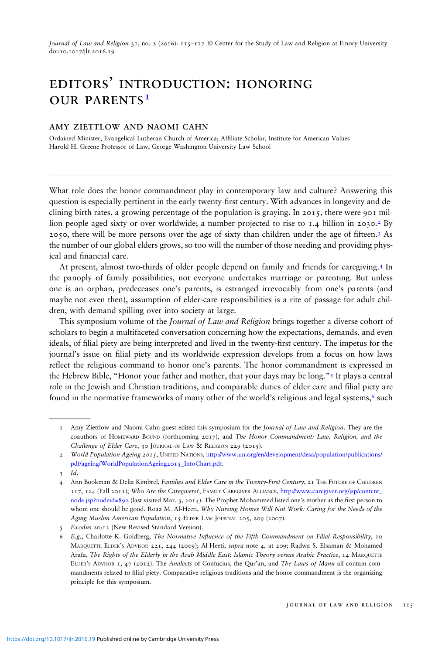Journal of Law and Religion 31, no. 2 (2016): 115–117 © Center for the Study of Law and Religion at Emory University doi:10.1017/jlr.2016.19

## editors' introduction: honoring OUR PARENTS<sup>I</sup>

## amy ziettlow and naomi cahn

Ordained Minister, Evangelical Lutheran Church of America; Afliate Scholar, Institute for American Values Harold H. Greene Professor of Law, George Washington University Law School

What role does the honor commandment play in contemporary law and culture? Answering this question is especially pertinent in the early twenty-first century. With advances in longevity and declining birth rates, a growing percentage of the population is graying. In 2015, there were 901 million people aged sixty or over worldwide; a number projected to rise to  $1.4$  billion in 2030.<sup>2</sup> By 2050, there will be more persons over the age of sixty than children under the age of fteen.3 As the number of our global elders grows, so too will the number of those needing and providing physical and financial care.

At present, almost two-thirds of older people depend on family and friends for caregiving.<sup>4</sup> In the panoply of family possibilities, not everyone undertakes marriage or parenting. But unless one is an orphan, predeceases one's parents, is estranged irrevocably from one's parents (and maybe not even then), assumption of elder-care responsibilities is a rite of passage for adult children, with demand spilling over into society at large.

This symposium volume of the *Journal of Law and Religion* brings together a diverse cohort of scholars to begin a multifaceted conversation concerning how the expectations, demands, and even ideals, of filial piety are being interpreted and lived in the twenty-first century. The impetus for the journal's issue on lial piety and its worldwide expression develops from a focus on how laws reflect the religious command to honor one's parents. The honor commandment is expressed in the Hebrew Bible, "Honor your father and mother, that your days may be long."<sup>5</sup> It plays a central role in the Jewish and Christian traditions, and comparable duties of elder care and filial piety are found in the normative frameworks of many other of the world's religious and legal systems,<sup>6</sup> such

<sup>1</sup> Amy Ziettlow and Naomi Cahn guest edited this symposium for the Journal of Law and Religion. They are the coauthors of HOMEWARD BOUND (forthcoming 2017), and The Honor Commandment: Law, Religion, and the Challenge of Elder Care, 30 JOURNAL OF LAW & RELIGION 229 (2015).

<sup>2</sup> World Population Ageing 2015, UNITED NATIONS, [http://www.un.org/en/development/desa/population/publications/](http://www.un.org/en/development/desa/population/publications/pdf/ageing/WorldPopulationAgeing2015_InfoChart.pdf) [pdf/ageing/WorldPopulationAgeing2015\\_InfoChart.pdf](http://www.un.org/en/development/desa/population/publications/pdf/ageing/WorldPopulationAgeing2015_InfoChart.pdf).

<sup>3</sup> Id.

<sup>4</sup> Ann Bookman & Delia Kimbrel, Families and Elder Care in the Twenty-First Century, 21 THE FUTURE OF CHILDREN 117, 124 (Fall 2011); Who Are the Caregivers?, FAMILY CAREGIVER ALLIANCE, [http://www.caregiver.org/jsp/content\\_](http://www.caregiver.org/jsp/content_node.jsp?nodeid=892) [node.jsp?nodeid=892](http://www.caregiver.org/jsp/content_node.jsp?nodeid=892) (last visited Mar. 3, 2014). The Prophet Mohammed listed one's mother as the first person to whom one should be good. Roaa M. Al-Heeti, Why Nursing Homes Will Not Work: Caring for the Needs of the Aging Muslim American Population, 15 ELDER LAW JOURNAL 205, 209 (2007).

<sup>5</sup> Exodus 20:12 (New Revised Standard Version).

<sup>6</sup> E.g., Charlotte K. Goldberg, The Normative Influence of the Fifth Commandment on Filial Responsibility, 10 MARQUETTE ELDER'<sup>S</sup> ADVISOR 221, 244 (2009); Al-Heeti, supra note 4, at 209; Radwa S. Elsaman & Mohamed Arafa, The Rights of the Elderly in the Arab Middle East: Islamic Theory versus Arabic Practice, 14 MARQUETTE ELDER'S ADVISOR 1, 47 (2012). The Analects of Confucius, the Qur'an, and The Laws of Manu all contain commandments related to filial piety. Comparative religious traditions and the honor commandment is the organizing principle for this symposium.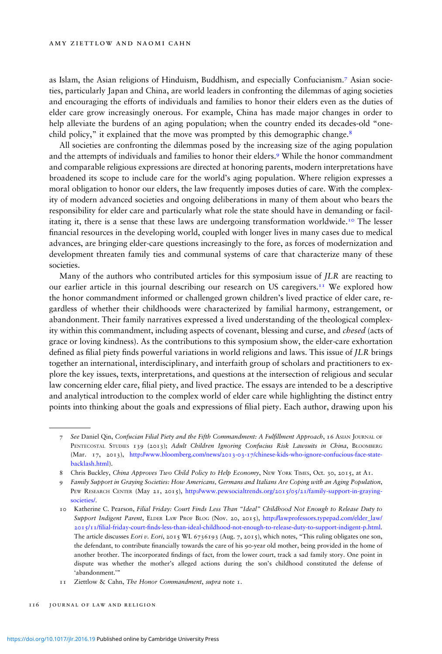as Islam, the Asian religions of Hinduism, Buddhism, and especially Confucianism.7 Asian societies, particularly Japan and China, are world leaders in confronting the dilemmas of aging societies and encouraging the efforts of individuals and families to honor their elders even as the duties of elder care grow increasingly onerous. For example, China has made major changes in order to help alleviate the burdens of an aging population; when the country ended its decades-old "onechild policy," it explained that the move was prompted by this demographic change.<sup>8</sup>

All societies are confronting the dilemmas posed by the increasing size of the aging population and the attempts of individuals and families to honor their elders.9 While the honor commandment and comparable religious expressions are directed at honoring parents, modern interpretations have broadened its scope to include care for the world's aging population. Where religion expresses a moral obligation to honor our elders, the law frequently imposes duties of care. With the complexity of modern advanced societies and ongoing deliberations in many of them about who bears the responsibility for elder care and particularly what role the state should have in demanding or facilitating it, there is a sense that these laws are undergoing transformation worldwide.<sup>10</sup> The lesser financial resources in the developing world, coupled with longer lives in many cases due to medical advances, are bringing elder-care questions increasingly to the fore, as forces of modernization and development threaten family ties and communal systems of care that characterize many of these societies.

Many of the authors who contributed articles for this symposium issue of JLR are reacting to our earlier article in this journal describing our research on US caregivers.<sup>11</sup> We explored how the honor commandment informed or challenged grown children's lived practice of elder care, regardless of whether their childhoods were characterized by familial harmony, estrangement, or abandonment. Their family narratives expressed a lived understanding of the theological complexity within this commandment, including aspects of covenant, blessing and curse, and chesed (acts of grace or loving kindness). As the contributions to this symposium show, the elder-care exhortation defined as filial piety finds powerful variations in world religions and laws. This issue of *JLR* brings together an international, interdisciplinary, and interfaith group of scholars and practitioners to explore the key issues, texts, interpretations, and questions at the intersection of religious and secular law concerning elder care, filial piety, and lived practice. The essays are intended to be a descriptive and analytical introduction to the complex world of elder care while highlighting the distinct entry points into thinking about the goals and expressions of lial piety. Each author, drawing upon his

<sup>7</sup> See Daniel Qin, Confucian Filial Piety and the Fifth Commandment: A Fulllment Approach, 16 ASIAN JOURNAL OF PENTECOSTAL STUDIES 139 (2013); Adult Children Ignoring Confucius Risk Lawsuits in China, BLOOMBERG (Mar. 17, 2013), [http://www.bloomberg.com/news/2013-03-17/chinese-kids-who-ignore-confucious-face-state](http://www.bloomberg.com/news/2013-03-17/chinese-kids-who-ignore-confucious-face-state-backlash.html)[backlash.html\)](http://www.bloomberg.com/news/2013-03-17/chinese-kids-who-ignore-confucious-face-state-backlash.html).

<sup>8</sup> Chris Buckley, China Approves Two Child Policy to Help Economy, NEW YORK TIMES, Oct. 30, 2015, at A1.

<sup>9</sup> Family Support in Graying Societies: How Americans, Germans and Italians Are Coping with an Aging Population, PEW RESEARCH CENTER (May 21, 2015), [http://www.pewsocialtrends.org/2015/05/21/family-support-in-graying](http://www.pewsocialtrends.org/2015/05/21/family-support-in-graying-societies/)[societies/.](http://www.pewsocialtrends.org/2015/05/21/family-support-in-graying-societies/)

<sup>10</sup> Katherine C. Pearson, Filial Friday: Court Finds Less Than "Ideal" Childhood Not Enough to Release Duty to Support Indigent Parent, ELDER LAW PROF BLOG (Nov. 20, 2015), [http://lawprofessors.typepad.com/elder\\_law/](http://lawprofessors.typepad.com/elder_law/2015/11/filial-friday-court-finds-less-than-ideal-childhood-not-enough-to-release-duty-to-support-indigent-p.html) 2015/11/lial-friday-court-[nds-less-than-ideal-childhood-not-enough-to-release-duty-to-support-indigent-p.html.](http://lawprofessors.typepad.com/elder_law/2015/11/filial-friday-court-finds-less-than-ideal-childhood-not-enough-to-release-duty-to-support-indigent-p.html) The article discusses Eori v. Eori, 2015 WL 6736193 (Aug. 7, 2015), which notes, "This ruling obligates one son, the defendant, to contribute financially towards the care of his 90-year old mother, being provided in the home of another brother. The incorporated findings of fact, from the lower court, track a sad family story. One point in dispute was whether the mother's alleged actions during the son's childhood constituted the defense of 'abandonment.'"

<sup>11</sup> Ziettlow & Cahn, The Honor Commandment, supra note 1.